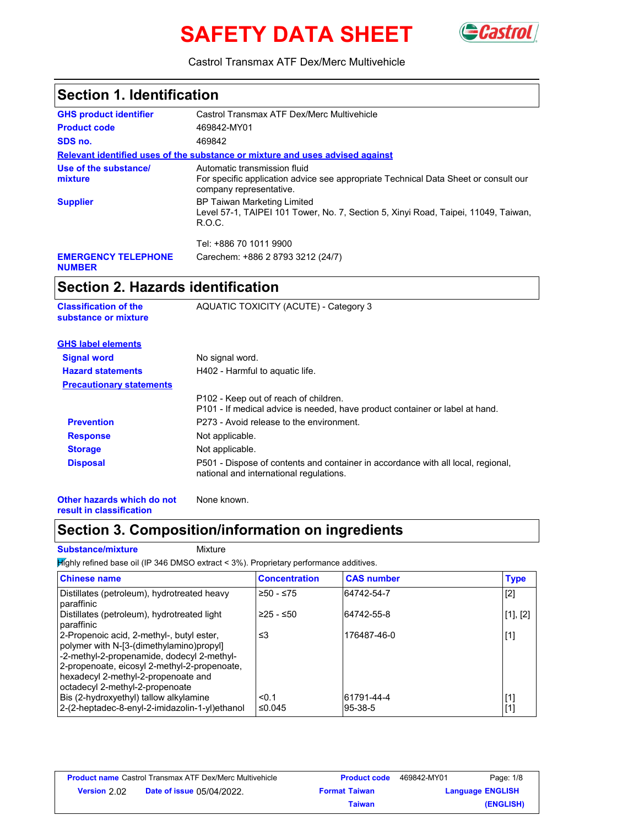# **SAFETY DATA SHEET** GCasti



Castrol Transmax ATF Dex/Merc Multivehicle

| <b>Section 1. Identification</b>                     |                                                                                                                                                |
|------------------------------------------------------|------------------------------------------------------------------------------------------------------------------------------------------------|
| <b>GHS product identifier</b>                        | Castrol Transmax ATF Dex/Merc Multivehicle                                                                                                     |
| <b>Product code</b>                                  | 469842-MY01                                                                                                                                    |
| SDS no.                                              | 469842                                                                                                                                         |
|                                                      | Relevant identified uses of the substance or mixture and uses advised against                                                                  |
| Use of the substance/<br>mixture                     | Automatic transmission fluid<br>For specific application advice see appropriate Technical Data Sheet or consult our<br>company representative. |
| <b>Supplier</b>                                      | <b>BP Taiwan Marketing Limited</b><br>Level 57-1, TAIPEI 101 Tower, No. 7, Section 5, Xinyi Road, Taipei, 11049, Taiwan,<br>R.O.C.             |
|                                                      | Tel: +886 70 1011 9900                                                                                                                         |
| <b>EMERGENCY TELEPHONE</b><br><b>NUMBER</b>          | Carechem: +886 2 8793 3212 (24/7)                                                                                                              |
| Section 2. Hazards identification                    |                                                                                                                                                |
| <b>Classification of the</b><br>substance or mixture | AQUATIC TOXICITY (ACUTE) - Category 3                                                                                                          |
| <b>GHS label elements</b>                            |                                                                                                                                                |
| <b>Signal word</b>                                   | No signal word.                                                                                                                                |
| <b>Hazard statements</b>                             | H402 - Harmful to aquatic life.                                                                                                                |
| <b>Precautionary statements</b>                      |                                                                                                                                                |
|                                                      | P102 - Keep out of reach of children.<br>D101 - If medical advice is needed have product container or label at hand                            |

|                   | P101 - If medical advice is needed, have product container or label at hand.                                                |
|-------------------|-----------------------------------------------------------------------------------------------------------------------------|
| <b>Prevention</b> | P273 - Avoid release to the environment.                                                                                    |
| <b>Response</b>   | Not applicable.                                                                                                             |
| <b>Storage</b>    | Not applicable.                                                                                                             |
| <b>Disposal</b>   | P501 - Dispose of contents and container in accordance with all local, regional,<br>national and international regulations. |

**Other hazards which do not result in classification** None known.

# **Section 3. Composition/information on ingredients**

#### **Substance/mixture Mixture**

 $H$ ighly refined base oil (IP 346 DMSO extract < 3%). Proprietary performance additives.

| <b>Chinese name</b>                                                                                                                                                                                                                                           | <b>Concentration</b> | <b>CAS number</b> | <b>Type</b> |
|---------------------------------------------------------------------------------------------------------------------------------------------------------------------------------------------------------------------------------------------------------------|----------------------|-------------------|-------------|
| Distillates (petroleum), hydrotreated heavy<br>paraffinic                                                                                                                                                                                                     | $≥50 - ≤75$          | 64742-54-7        | $[2]$       |
| Distillates (petroleum), hydrotreated light<br>paraffinic                                                                                                                                                                                                     | $≥25 - ≤50$          | 64742-55-8        | [1], [2]    |
| 2-Propenoic acid, 2-methyl-, butyl ester,<br>polymer with N-[3-(dimethylamino)propyl]<br>-2-methyl-2-propenamide, dodecyl 2-methyl-<br>2-propenoate, eicosyl 2-methyl-2-propenoate,<br>hexadecyl 2-methyl-2-propenoate and<br>octadecyl 2-methyl-2-propenoate | ≤3                   | 176487-46-0       | $[1]$       |
| Bis (2-hydroxyethyl) tallow alkylamine                                                                                                                                                                                                                        | < 0.1                | 61791-44-4        | $[1]$       |
| 2-(2-heptadec-8-enyl-2-imidazolin-1-yl)ethanol                                                                                                                                                                                                                | ≤0.045               | 95-38-5           | $[1]$       |

|              | <b>Product name</b> Castrol Transmax ATF Dex/Merc Multivehicle | <b>Product code</b>  | 469842-MY01 | Page: 1/8               |
|--------------|----------------------------------------------------------------|----------------------|-------------|-------------------------|
| Version 2.02 | <b>Date of issue 05/04/2022.</b>                               | <b>Format Taiwan</b> |             | <b>Language ENGLISH</b> |
|              |                                                                | Taiwan               |             | (ENGLISH)               |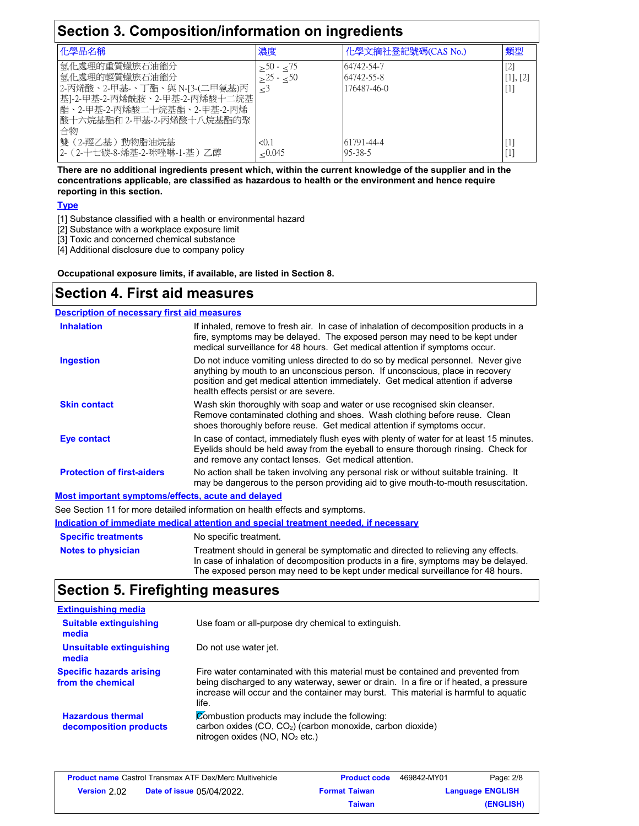| Section 3. Composition/information on ingredients                                                                                                                    |                                     |                                         |                                 |
|----------------------------------------------------------------------------------------------------------------------------------------------------------------------|-------------------------------------|-----------------------------------------|---------------------------------|
| 化學品名稱                                                                                                                                                                | 濃度                                  | 化學文摘社登記號碼(CAS No.)                      | 類型                              |
| 氫化處理的重質蠟族石油餾分<br>氫化處理的輕質蠟族石油餾分<br>2-丙烯酸、2-甲基-、丁酯、與 N-[3-(二甲氨基)丙<br>基]-2-甲基-2-丙烯酰胺、2-甲基-2-丙烯酸十二烷基<br> 酯、2-甲基-2-丙烯酸二十烷基酯、2-甲基-2-丙烯 <br>酸十六烷基酯和 2-甲基-2-丙烯酸十八烷基酯的聚<br>合物 | $\geq 50$ ⋅ $\leq 75$<br>$>25 - 50$ | 64742-54-7<br>64742-55-8<br>176487-46-0 | $[2]$<br>$[1]$ , $[2]$<br>$[1]$ |
| 雙(2-羥乙基)動物脂油烷基<br>2- (2-十七碳-8-烯基-2-咪唑啉-1-基) 乙醇                                                                                                                       | < 0.1<br>< 0.045                    | 61791-44-4<br>95-38-5                   | $[1]$<br>$[1]$                  |

**There are no additional ingredients present which, within the current knowledge of the supplier and in the concentrations applicable, are classified as hazardous to health or the environment and hence require reporting in this section.**

#### **Type**

- [1] Substance classified with a health or environmental hazard
- [2] Substance with a workplace exposure limit
- [3] Toxic and concerned chemical substance

[4] Additional disclosure due to company policy

**Occupational exposure limits, if available, are listed in Section 8.**

### **Section 4. First aid measures**

#### **Description of necessary first aid measures**

| <b>Inhalation</b>                                  | If inhaled, remove to fresh air. In case of inhalation of decomposition products in a<br>fire, symptoms may be delayed. The exposed person may need to be kept under<br>medical surveillance for 48 hours. Get medical attention if symptoms occur.                                            |  |
|----------------------------------------------------|------------------------------------------------------------------------------------------------------------------------------------------------------------------------------------------------------------------------------------------------------------------------------------------------|--|
| <b>Ingestion</b>                                   | Do not induce vomiting unless directed to do so by medical personnel. Never give<br>anything by mouth to an unconscious person. If unconscious, place in recovery<br>position and get medical attention immediately. Get medical attention if adverse<br>health effects persist or are severe. |  |
| <b>Skin contact</b>                                | Wash skin thoroughly with soap and water or use recognised skin cleanser.<br>Remove contaminated clothing and shoes. Wash clothing before reuse. Clean<br>shoes thoroughly before reuse. Get medical attention if symptoms occur.                                                              |  |
| Eye contact                                        | In case of contact, immediately flush eyes with plenty of water for at least 15 minutes.<br>Eyelids should be held away from the eyeball to ensure thorough rinsing. Check for<br>and remove any contact lenses. Get medical attention.                                                        |  |
| <b>Protection of first-aiders</b>                  | No action shall be taken involving any personal risk or without suitable training. It<br>may be dangerous to the person providing aid to give mouth-to-mouth resuscitation.                                                                                                                    |  |
| Most important symptoms/effects, acute and delayed |                                                                                                                                                                                                                                                                                                |  |

See Section 11 for more detailed information on health effects and symptoms.

**Indication of immediate medical attention and special treatment needed, if necessary**

| <b>Specific treatments</b> | No specific treatment.                                                                                                                                                   |
|----------------------------|--------------------------------------------------------------------------------------------------------------------------------------------------------------------------|
| <b>Notes to physician</b>  | Treatment should in general be symptomatic and directed to relieving any effects.<br>In case of inhalation of decomposition products in a fire, symptoms may be delayed. |
|                            | The exposed person may need to be kept under medical surveillance for 48 hours.                                                                                          |

### **Section 5. Firefighting measures**

| <b>Extinguishing media</b>                           |                                                                                                                                                                                                                                                                          |
|------------------------------------------------------|--------------------------------------------------------------------------------------------------------------------------------------------------------------------------------------------------------------------------------------------------------------------------|
| <b>Suitable extinguishing</b><br>media               | Use foam or all-purpose dry chemical to extinguish.                                                                                                                                                                                                                      |
| Unsuitable extinguishing<br>media                    | Do not use water jet.                                                                                                                                                                                                                                                    |
| <b>Specific hazards arising</b><br>from the chemical | Fire water contaminated with this material must be contained and prevented from<br>being discharged to any waterway, sewer or drain. In a fire or if heated, a pressure<br>increase will occur and the container may burst. This material is harmful to aguatic<br>life. |
| <b>Hazardous thermal</b><br>decomposition products   | Combustion products may include the following:<br>carbon oxides (CO, CO <sub>2</sub> ) (carbon monoxide, carbon dioxide)<br>nitrogen oxides (NO, NO <sub>2</sub> etc.)                                                                                                   |

| <b>Product name</b> Castrol Transmax ATF Dex/Merc Multivehicle |                                  | <b>Product code</b>  | 469842-MY01 | Page: 2/8               |
|----------------------------------------------------------------|----------------------------------|----------------------|-------------|-------------------------|
| <b>Version</b> 2.02                                            | <b>Date of issue 05/04/2022.</b> | <b>Format Taiwan</b> |             | <b>Language ENGLISH</b> |
|                                                                |                                  | Taiwan               |             | (ENGLISH)               |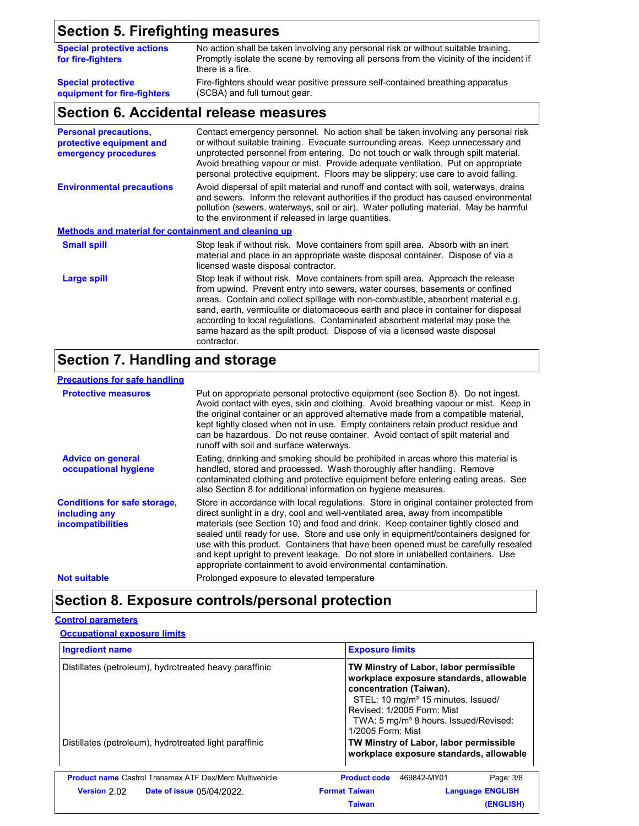# **Section 5. Firefighting measures**

| <b>Special protective actions</b><br>for fire-fighters | No action shall be taken involving any personal risk or without suitable training.<br>Promptly isolate the scene by removing all persons from the vicinity of the incident if<br>there is a fire. |
|--------------------------------------------------------|---------------------------------------------------------------------------------------------------------------------------------------------------------------------------------------------------|
| <b>Special protective</b>                              | Fire-fighters should wear positive pressure self-contained breathing apparatus                                                                                                                    |
| equipment for fire-fighters                            | (SCBA) and full turnout gear.                                                                                                                                                                     |

# **Section 6. Accidental release measures**

| <b>Personal precautions,</b><br>protective equipment and<br>emergency procedures | Contact emergency personnel. No action shall be taken involving any personal risk<br>or without suitable training. Evacuate surrounding areas. Keep unnecessary and<br>unprotected personnel from entering. Do not touch or walk through spilt material.<br>Avoid breathing vapour or mist. Provide adequate ventilation. Put on appropriate<br>personal protective equipment. Floors may be slippery; use care to avoid falling.                                                                                        |
|----------------------------------------------------------------------------------|--------------------------------------------------------------------------------------------------------------------------------------------------------------------------------------------------------------------------------------------------------------------------------------------------------------------------------------------------------------------------------------------------------------------------------------------------------------------------------------------------------------------------|
| <b>Environmental precautions</b>                                                 | Avoid dispersal of spilt material and runoff and contact with soil, waterways, drains<br>and sewers. Inform the relevant authorities if the product has caused environmental<br>pollution (sewers, waterways, soil or air). Water polluting material. May be harmful<br>to the environment if released in large quantities.                                                                                                                                                                                              |
| <b>Methods and material for containment and cleaning up</b>                      |                                                                                                                                                                                                                                                                                                                                                                                                                                                                                                                          |
| <b>Small spill</b>                                                               | Stop leak if without risk. Move containers from spill area. Absorb with an inert<br>material and place in an appropriate waste disposal container. Dispose of via a<br>licensed waste disposal contractor.                                                                                                                                                                                                                                                                                                               |
| Large spill                                                                      | Stop leak if without risk. Move containers from spill area. Approach the release<br>from upwind. Prevent entry into sewers, water courses, basements or confined<br>areas. Contain and collect spillage with non-combustible, absorbent material e.g.<br>sand, earth, vermiculite or diatomaceous earth and place in container for disposal<br>according to local regulations. Contaminated absorbent material may pose the<br>same hazard as the spilt product. Dispose of via a licensed waste disposal<br>contractor. |

### **Section 7. Handling and storage**

### **Precautions for safe handling**

| Precautions for sale nanumiq                                                     |                                                                                                                                                                                                                                                                                                                                                                                                                                                                                                                                                                                                |
|----------------------------------------------------------------------------------|------------------------------------------------------------------------------------------------------------------------------------------------------------------------------------------------------------------------------------------------------------------------------------------------------------------------------------------------------------------------------------------------------------------------------------------------------------------------------------------------------------------------------------------------------------------------------------------------|
| <b>Protective measures</b>                                                       | Put on appropriate personal protective equipment (see Section 8). Do not ingest.<br>Avoid contact with eyes, skin and clothing. Avoid breathing vapour or mist. Keep in<br>the original container or an approved alternative made from a compatible material.<br>kept tightly closed when not in use. Empty containers retain product residue and<br>can be hazardous. Do not reuse container. Avoid contact of spilt material and<br>runoff with soil and surface waterways.                                                                                                                  |
| <b>Advice on general</b><br>occupational hygiene                                 | Eating, drinking and smoking should be prohibited in areas where this material is<br>handled, stored and processed. Wash thoroughly after handling. Remove<br>contaminated clothing and protective equipment before entering eating areas. See<br>also Section 8 for additional information on hygiene measures.                                                                                                                                                                                                                                                                               |
| <b>Conditions for safe storage,</b><br>including any<br><b>incompatibilities</b> | Store in accordance with local regulations. Store in original container protected from<br>direct sunlight in a dry, cool and well-ventilated area, away from incompatible<br>materials (see Section 10) and food and drink. Keep container tightly closed and<br>sealed until ready for use. Store and use only in equipment/containers designed for<br>use with this product. Containers that have been opened must be carefully resealed<br>and kept upright to prevent leakage. Do not store in unlabelled containers. Use<br>appropriate containment to avoid environmental contamination. |
| <b>Not suitable</b>                                                              | Prolonged exposure to elevated temperature                                                                                                                                                                                                                                                                                                                                                                                                                                                                                                                                                     |

# **Section 8. Exposure controls/personal protection**

#### **Control parameters**

#### **Occupational exposure limits**

| <b>Ingredient name</b>                                         | <b>Exposure limits</b>                                                                                                                                                                                                                                                 |  |
|----------------------------------------------------------------|------------------------------------------------------------------------------------------------------------------------------------------------------------------------------------------------------------------------------------------------------------------------|--|
| Distillates (petroleum), hydrotreated heavy paraffinic         | TW Minstry of Labor, labor permissible<br>workplace exposure standards, allowable<br>concentration (Taiwan).<br>STEL: 10 mg/m <sup>3</sup> 15 minutes. Issued/<br>Revised: 1/2005 Form: Mist<br>TWA: 5 mg/m <sup>3</sup> 8 hours. Issued/Revised:<br>1/2005 Form: Mist |  |
| Distillates (petroleum), hydrotreated light paraffinic         | TW Minstry of Labor, labor permissible<br>workplace exposure standards, allowable                                                                                                                                                                                      |  |
| <b>Product name Castrol Transmax ATF Dex/Merc Multivehicle</b> | Page: 3/8<br><b>Product code</b><br>469842-MY01                                                                                                                                                                                                                        |  |
| Version 2.02<br><b>Date of issue 05/04/2022</b>                | <b>Format Taiwan</b><br><b>Language ENGLISH</b>                                                                                                                                                                                                                        |  |
|                                                                | <b>Taiwan</b><br>(ENGLISH)                                                                                                                                                                                                                                             |  |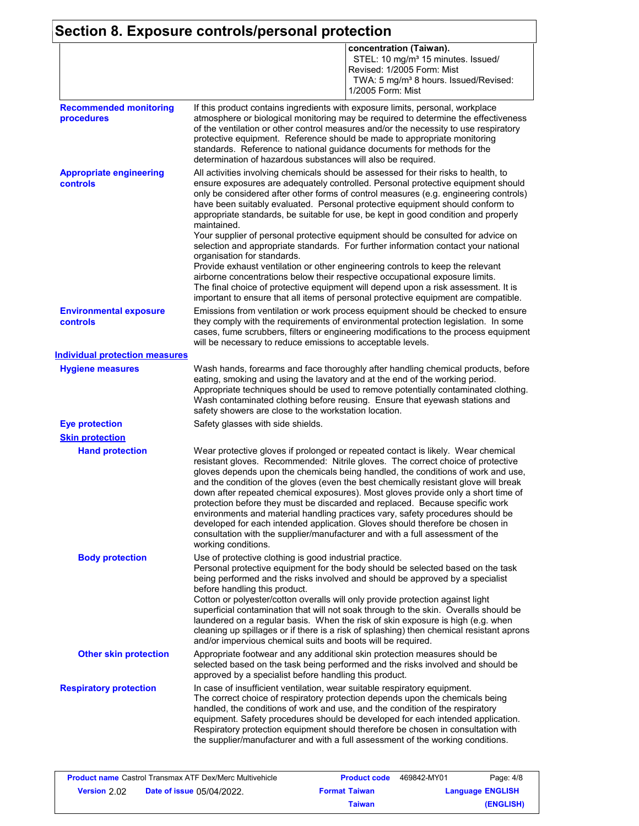### **Section 8. Exposure controls/personal protection**

|                                             | concentration (Taiwan).<br>STEL: 10 mg/m <sup>3</sup> 15 minutes. Issued/<br>Revised: 1/2005 Form: Mist<br>TWA: 5 mg/m <sup>3</sup> 8 hours. Issued/Revised:<br>1/2005 Form: Mist                                                                                                                                                                                                                                                                                                                                                                                                                                                                                                                                                                                                                                                                                                                                      |  |
|---------------------------------------------|------------------------------------------------------------------------------------------------------------------------------------------------------------------------------------------------------------------------------------------------------------------------------------------------------------------------------------------------------------------------------------------------------------------------------------------------------------------------------------------------------------------------------------------------------------------------------------------------------------------------------------------------------------------------------------------------------------------------------------------------------------------------------------------------------------------------------------------------------------------------------------------------------------------------|--|
| <b>Recommended monitoring</b><br>procedures | If this product contains ingredients with exposure limits, personal, workplace<br>atmosphere or biological monitoring may be required to determine the effectiveness<br>of the ventilation or other control measures and/or the necessity to use respiratory<br>protective equipment. Reference should be made to appropriate monitoring<br>standards. Reference to national guidance documents for methods for the<br>determination of hazardous substances will also be required.                                                                                                                                                                                                                                                                                                                                                                                                                                    |  |
| <b>Appropriate engineering</b><br>controls  | All activities involving chemicals should be assessed for their risks to health, to<br>ensure exposures are adequately controlled. Personal protective equipment should<br>only be considered after other forms of control measures (e.g. engineering controls)<br>have been suitably evaluated. Personal protective equipment should conform to<br>appropriate standards, be suitable for use, be kept in good condition and properly<br>maintained.<br>Your supplier of personal protective equipment should be consulted for advice on<br>selection and appropriate standards. For further information contact your national<br>organisation for standards.<br>Provide exhaust ventilation or other engineering controls to keep the relevant<br>airborne concentrations below their respective occupational exposure limits.<br>The final choice of protective equipment will depend upon a risk assessment. It is |  |
| <b>Environmental exposure</b><br>controls   | important to ensure that all items of personal protective equipment are compatible.<br>Emissions from ventilation or work process equipment should be checked to ensure<br>they comply with the requirements of environmental protection legislation. In some<br>cases, fume scrubbers, filters or engineering modifications to the process equipment<br>will be necessary to reduce emissions to acceptable levels.                                                                                                                                                                                                                                                                                                                                                                                                                                                                                                   |  |
| <b>Individual protection measures</b>       |                                                                                                                                                                                                                                                                                                                                                                                                                                                                                                                                                                                                                                                                                                                                                                                                                                                                                                                        |  |
| <b>Hygiene measures</b>                     | Wash hands, forearms and face thoroughly after handling chemical products, before<br>eating, smoking and using the lavatory and at the end of the working period.<br>Appropriate techniques should be used to remove potentially contaminated clothing.<br>Wash contaminated clothing before reusing. Ensure that eyewash stations and<br>safety showers are close to the workstation location.                                                                                                                                                                                                                                                                                                                                                                                                                                                                                                                        |  |
| <b>Eye protection</b>                       | Safety glasses with side shields.                                                                                                                                                                                                                                                                                                                                                                                                                                                                                                                                                                                                                                                                                                                                                                                                                                                                                      |  |
| <b>Skin protection</b>                      |                                                                                                                                                                                                                                                                                                                                                                                                                                                                                                                                                                                                                                                                                                                                                                                                                                                                                                                        |  |
| <b>Hand protection</b>                      | Wear protective gloves if prolonged or repeated contact is likely. Wear chemical<br>resistant gloves. Recommended: Nitrile gloves. The correct choice of protective<br>gloves depends upon the chemicals being handled, the conditions of work and use,<br>and the condition of the gloves (even the best chemically resistant glove will break<br>down after repeated chemical exposures). Most gloves provide only a short time of<br>protection before they must be discarded and replaced. Because specific work<br>environments and material handling practices vary, safety procedures should be<br>developed for each intended application. Gloves should therefore be chosen in<br>consultation with the supplier/manufacturer and with a full assessment of the<br>working conditions.                                                                                                                        |  |
| <b>Body protection</b>                      | Use of protective clothing is good industrial practice.<br>Personal protective equipment for the body should be selected based on the task<br>being performed and the risks involved and should be approved by a specialist<br>before handling this product.<br>Cotton or polyester/cotton overalls will only provide protection against light<br>superficial contamination that will not soak through to the skin. Overalls should be<br>laundered on a regular basis. When the risk of skin exposure is high (e.g. when<br>cleaning up spillages or if there is a risk of splashing) then chemical resistant aprons<br>and/or impervious chemical suits and boots will be required.                                                                                                                                                                                                                                  |  |
| <b>Other skin protection</b>                | Appropriate footwear and any additional skin protection measures should be<br>selected based on the task being performed and the risks involved and should be<br>approved by a specialist before handling this product.                                                                                                                                                                                                                                                                                                                                                                                                                                                                                                                                                                                                                                                                                                |  |
| <b>Respiratory protection</b>               | In case of insufficient ventilation, wear suitable respiratory equipment.<br>The correct choice of respiratory protection depends upon the chemicals being<br>handled, the conditions of work and use, and the condition of the respiratory<br>equipment. Safety procedures should be developed for each intended application.<br>Respiratory protection equipment should therefore be chosen in consultation with<br>the supplier/manufacturer and with a full assessment of the working conditions.                                                                                                                                                                                                                                                                                                                                                                                                                  |  |

|                     | <b>Product name Castrol Transmax ATF Dex/Merc Multivehicle</b> | <b>Product code</b>  | 469842-MY01 | Page: 4/8               |
|---------------------|----------------------------------------------------------------|----------------------|-------------|-------------------------|
| <b>Version</b> 2.02 | <b>Date of issue 05/04/2022.</b>                               | <b>Format Taiwan</b> |             | <b>Language ENGLISH</b> |
|                     |                                                                | Taiwan               |             | (ENGLISH)               |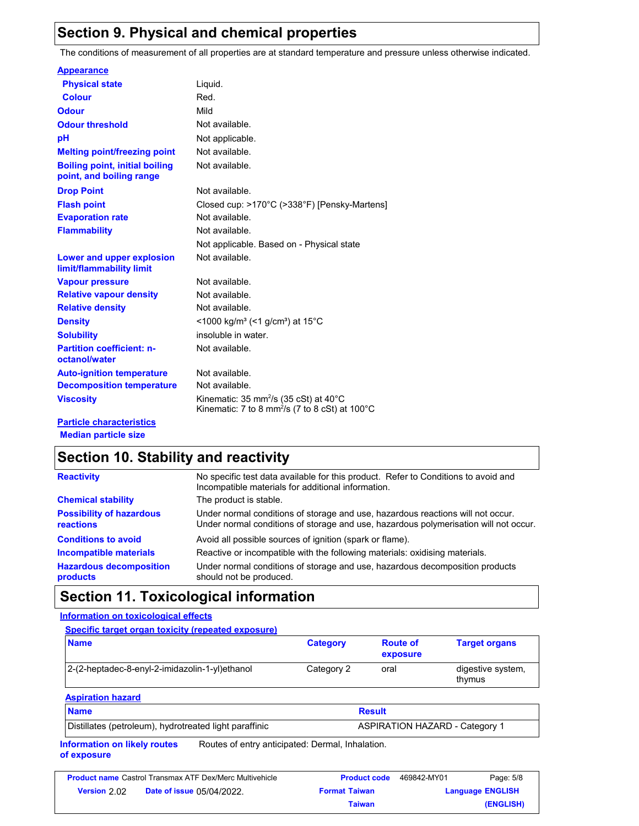### **Section 9. Physical and chemical properties**

The conditions of measurement of all properties are at standard temperature and pressure unless otherwise indicated.

|  | <b>Appearance</b> |
|--|-------------------|
|--|-------------------|

| <b>Physical state</b>                                             | Liquid.                                                                                                                                         |
|-------------------------------------------------------------------|-------------------------------------------------------------------------------------------------------------------------------------------------|
| <b>Colour</b>                                                     | Red.                                                                                                                                            |
| Odour                                                             | Mild                                                                                                                                            |
| <b>Odour threshold</b>                                            | Not available.                                                                                                                                  |
| рH                                                                | Not applicable.                                                                                                                                 |
| <b>Melting point/freezing point</b>                               | Not available.                                                                                                                                  |
| <b>Boiling point, initial boiling</b><br>point, and boiling range | Not available.                                                                                                                                  |
| <b>Drop Point</b>                                                 | Not available.                                                                                                                                  |
| <b>Flash point</b>                                                | Closed cup: >170°C (>338°F) [Pensky-Martens]                                                                                                    |
| <b>Evaporation rate</b>                                           | Not available.                                                                                                                                  |
| <b>Flammability</b>                                               | Not available.                                                                                                                                  |
|                                                                   | Not applicable. Based on - Physical state                                                                                                       |
| Lower and upper explosion<br>limit/flammability limit             | Not available.                                                                                                                                  |
| <b>Vapour pressure</b>                                            | Not available.                                                                                                                                  |
| <b>Relative vapour density</b>                                    | Not available.                                                                                                                                  |
| <b>Relative density</b>                                           | Not available.                                                                                                                                  |
| <b>Density</b>                                                    | <1000 kg/m <sup>3</sup> (<1 g/cm <sup>3</sup> ) at 15°C                                                                                         |
| <b>Solubility</b>                                                 | insoluble in water.                                                                                                                             |
| <b>Partition coefficient: n-</b><br>octanol/water                 | Not available.                                                                                                                                  |
| <b>Auto-ignition temperature</b>                                  | Not available.                                                                                                                                  |
| <b>Decomposition temperature</b>                                  | Not available.                                                                                                                                  |
| <b>Viscosity</b>                                                  | Kinematic: $35 \text{ mm}^2/\text{s}$ (35 cSt) at $40^{\circ}\text{C}$<br>Kinematic: 7 to 8 mm <sup>2</sup> /s (7 to 8 cSt) at 100 $^{\circ}$ C |
| <b>Particle characteristics</b>                                   |                                                                                                                                                 |

**Median particle size**

### **Section 10. Stability and reactivity**

| <b>Reactivity</b>                            | No specific test data available for this product. Refer to Conditions to avoid and<br>Incompatible materials for additional information.                                |
|----------------------------------------------|-------------------------------------------------------------------------------------------------------------------------------------------------------------------------|
| <b>Chemical stability</b>                    | The product is stable.                                                                                                                                                  |
| <b>Possibility of hazardous</b><br>reactions | Under normal conditions of storage and use, hazardous reactions will not occur.<br>Under normal conditions of storage and use, hazardous polymerisation will not occur. |
| <b>Conditions to avoid</b>                   | Avoid all possible sources of ignition (spark or flame).                                                                                                                |
| <b>Incompatible materials</b>                | Reactive or incompatible with the following materials: oxidising materials.                                                                                             |
| <b>Hazardous decomposition</b><br>products   | Under normal conditions of storage and use, hazardous decomposition products<br>should not be produced.                                                                 |

### **Section 11. Toxicological information**

**Information on toxicological effects**

| <b>Name</b>                                    | <b>Category</b> | <b>Route of</b><br>exposure | <b>Target organs</b>        |
|------------------------------------------------|-----------------|-----------------------------|-----------------------------|
| 2-(2-heptadec-8-enyl-2-imidazolin-1-yl)ethanol | Category 2      | oral                        | digestive system,<br>thymus |

#### **Aspiration hazard**

| <b>Name</b>                                            | Result                                |
|--------------------------------------------------------|---------------------------------------|
| Distillates (petroleum), hydrotreated light paraffinic | <b>ASPIRATION HAZARD - Category 1</b> |

**Information on likely routes of exposure** Routes of entry anticipated: Dermal, Inhalation.

|                     | <b>Product name Castrol Transmax ATF Dex/Merc Multivehicle</b> | <b>Product code</b>  | 469842-MY01 | Page: 5/8               |
|---------------------|----------------------------------------------------------------|----------------------|-------------|-------------------------|
| <b>Version</b> 2.02 | <b>Date of issue 05/04/2022.</b>                               | <b>Format Taiwan</b> |             | <b>Language ENGLISH</b> |
|                     |                                                                | Taiwan               |             | (ENGLISH)               |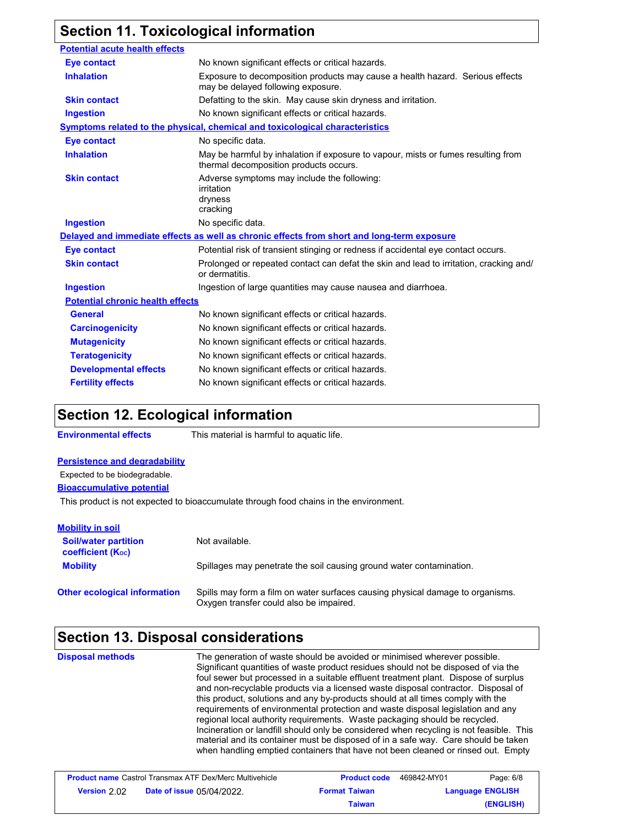# **Section 11. Toxicological information**

| <b>Potential acute health effects</b>   |                                                                                                                             |
|-----------------------------------------|-----------------------------------------------------------------------------------------------------------------------------|
| <b>Eye contact</b>                      | No known significant effects or critical hazards.                                                                           |
| <b>Inhalation</b>                       | Exposure to decomposition products may cause a health hazard. Serious effects<br>may be delayed following exposure.         |
| <b>Skin contact</b>                     | Defatting to the skin. May cause skin dryness and irritation.                                                               |
| <b>Ingestion</b>                        | No known significant effects or critical hazards.                                                                           |
|                                         | Symptoms related to the physical, chemical and toxicological characteristics                                                |
| <b>Eye contact</b>                      | No specific data.                                                                                                           |
| <b>Inhalation</b>                       | May be harmful by inhalation if exposure to vapour, mists or fumes resulting from<br>thermal decomposition products occurs. |
| <b>Skin contact</b>                     | Adverse symptoms may include the following:<br>irritation<br>dryness<br>cracking                                            |
| <b>Ingestion</b>                        | No specific data.                                                                                                           |
|                                         | Delayed and immediate effects as well as chronic effects from short and long-term exposure                                  |
| <b>Eye contact</b>                      | Potential risk of transient stinging or redness if accidental eye contact occurs.                                           |
| <b>Skin contact</b>                     | Prolonged or repeated contact can defat the skin and lead to irritation, cracking and/<br>or dermatitis.                    |
| <b>Ingestion</b>                        | Ingestion of large quantities may cause nausea and diarrhoea.                                                               |
| <b>Potential chronic health effects</b> |                                                                                                                             |
| <b>General</b>                          | No known significant effects or critical hazards.                                                                           |
| <b>Carcinogenicity</b>                  | No known significant effects or critical hazards.                                                                           |
| <b>Mutagenicity</b>                     | No known significant effects or critical hazards.                                                                           |
| <b>Teratogenicity</b>                   | No known significant effects or critical hazards.                                                                           |
| <b>Developmental effects</b>            | No known significant effects or critical hazards.                                                                           |
| <b>Fertility effects</b>                | No known significant effects or critical hazards.                                                                           |

# **Section 12. Ecological information**

**Environmental effects** This material is harmful to aquatic life.

#### **Persistence and degradability**

Expected to be biodegradable.

**Bioaccumulative potential**

This product is not expected to bioaccumulate through food chains in the environment.

| <b>Mobility in soil</b>                                       |                                                                                                                           |
|---------------------------------------------------------------|---------------------------------------------------------------------------------------------------------------------------|
| <b>Soil/water partition</b><br>coefficient (K <sub>oc</sub> ) | Not available.                                                                                                            |
| <b>Mobility</b>                                               | Spillages may penetrate the soil causing ground water contamination.                                                      |
| <b>Other ecological information</b>                           | Spills may form a film on water surfaces causing physical damage to organisms.<br>Oxygen transfer could also be impaired. |

# **Section 13. Disposal considerations**

| <b>Disposal methods</b> | The generation of waste should be avoided or minimised wherever possible.<br>Significant quantities of waste product residues should not be disposed of via the<br>foul sewer but processed in a suitable effluent treatment plant. Dispose of surplus<br>and non-recyclable products via a licensed waste disposal contractor. Disposal of<br>this product, solutions and any by-products should at all times comply with the<br>requirements of environmental protection and waste disposal legislation and any<br>regional local authority requirements. Waste packaging should be recycled.<br>Incineration or landfill should only be considered when recycling is not feasible. This<br>material and its container must be disposed of in a safe way. Care should be taken<br>when handling emptied containers that have not been cleaned or rinsed out. Empty |
|-------------------------|----------------------------------------------------------------------------------------------------------------------------------------------------------------------------------------------------------------------------------------------------------------------------------------------------------------------------------------------------------------------------------------------------------------------------------------------------------------------------------------------------------------------------------------------------------------------------------------------------------------------------------------------------------------------------------------------------------------------------------------------------------------------------------------------------------------------------------------------------------------------|
|-------------------------|----------------------------------------------------------------------------------------------------------------------------------------------------------------------------------------------------------------------------------------------------------------------------------------------------------------------------------------------------------------------------------------------------------------------------------------------------------------------------------------------------------------------------------------------------------------------------------------------------------------------------------------------------------------------------------------------------------------------------------------------------------------------------------------------------------------------------------------------------------------------|

| <b>Product name</b> Castrol Transmax ATF Dex/Merc Multivehicle |                                  | <b>Product code</b>  | 469842-MY01             | Page: 6/8 |
|----------------------------------------------------------------|----------------------------------|----------------------|-------------------------|-----------|
| Version 2.02                                                   | <b>Date of issue 05/04/2022.</b> | <b>Format Taiwan</b> | <b>Language ENGLISH</b> |           |
|                                                                |                                  | Taiwan               |                         | (ENGLISH) |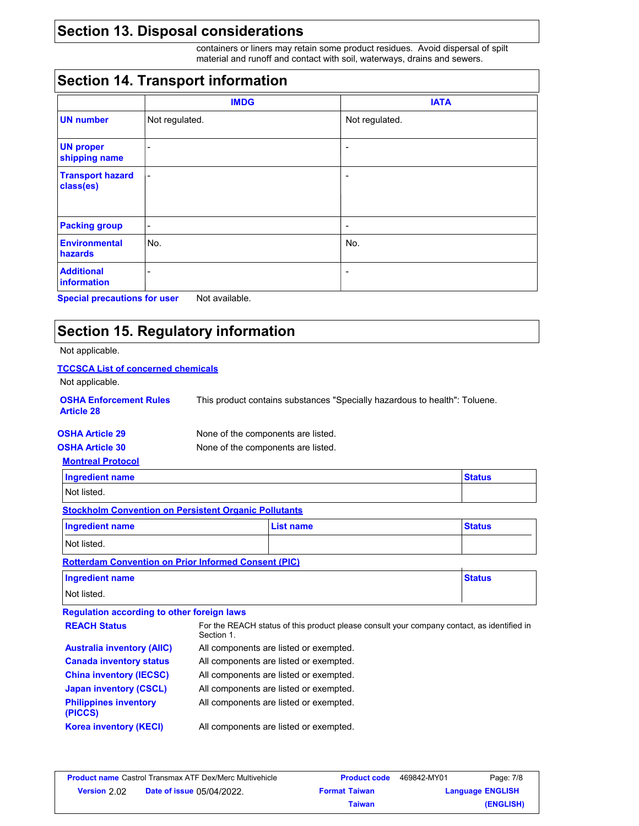# **Section 13. Disposal considerations**

containers or liners may retain some product residues. Avoid dispersal of spilt material and runoff and contact with soil, waterways, drains and sewers.

# **Section 14. Transport information**

|                                      | <b>IMDG</b>              | <b>IATA</b>              |
|--------------------------------------|--------------------------|--------------------------|
| <b>UN number</b>                     | Not regulated.           | Not regulated.           |
| <b>UN proper</b><br>shipping name    | ٠                        | $\overline{\phantom{a}}$ |
| <b>Transport hazard</b><br>class(es) | $\overline{\phantom{a}}$ | $\overline{\phantom{a}}$ |
| <b>Packing group</b>                 | $\overline{\phantom{a}}$ | $\overline{\phantom{a}}$ |
| <b>Environmental</b><br>hazards      | No.                      | No.                      |
| <b>Additional</b><br>information     | -                        |                          |

**Special precautions for user** Not available.

# **Section 15. Regulatory information**

Not applicable.

| <b>TCCSCA List of concerned chemicals</b>                                |                                        |                                                                                            |               |  |
|--------------------------------------------------------------------------|----------------------------------------|--------------------------------------------------------------------------------------------|---------------|--|
| Not applicable.                                                          |                                        |                                                                                            |               |  |
| <b>OSHA Enforcement Rules</b><br><b>Article 28</b>                       |                                        | This product contains substances "Specially hazardous to health": Toluene.                 |               |  |
| <b>OSHA Article 29</b>                                                   | None of the components are listed.     |                                                                                            |               |  |
| <b>OSHA Article 30</b>                                                   | None of the components are listed.     |                                                                                            |               |  |
| <b>Montreal Protocol</b>                                                 |                                        |                                                                                            |               |  |
| <b>Ingredient name</b>                                                   |                                        |                                                                                            | <b>Status</b> |  |
| Not listed.                                                              |                                        |                                                                                            |               |  |
| <b>Stockholm Convention on Persistent Organic Pollutants</b>             |                                        |                                                                                            |               |  |
| <b>Ingredient name</b>                                                   |                                        | <b>List name</b>                                                                           | <b>Status</b> |  |
| Not listed.                                                              |                                        |                                                                                            |               |  |
| <b>Rotterdam Convention on Prior Informed Consent (PIC)</b>              |                                        |                                                                                            |               |  |
| <b>Ingredient name</b>                                                   |                                        |                                                                                            | <b>Status</b> |  |
| Not listed.                                                              |                                        |                                                                                            |               |  |
| <b>Regulation according to other foreign laws</b>                        |                                        |                                                                                            |               |  |
| <b>REACH Status</b>                                                      | Section 1.                             | For the REACH status of this product please consult your company contact, as identified in |               |  |
| <b>Australia inventory (AIIC)</b>                                        |                                        | All components are listed or exempted.                                                     |               |  |
| <b>Canada inventory status</b>                                           |                                        | All components are listed or exempted.                                                     |               |  |
| <b>China inventory (IECSC)</b><br>All components are listed or exempted. |                                        |                                                                                            |               |  |
| <b>Japan inventory (CSCL)</b>                                            | All components are listed or exempted. |                                                                                            |               |  |
| <b>Philippines inventory</b><br>(PICCS)                                  |                                        | All components are listed or exempted.                                                     |               |  |
| <b>Korea inventory (KECI)</b>                                            |                                        | All components are listed or exempted.                                                     |               |  |
|                                                                          |                                        |                                                                                            |               |  |

| <b>Product name Castrol Transmax ATF Dex/Merc Multivehicle</b> |                                  | <b>Product code</b>  | 469842-MY01             | Page: 7/8 |
|----------------------------------------------------------------|----------------------------------|----------------------|-------------------------|-----------|
| Version 2.02                                                   | <b>Date of issue 05/04/2022.</b> | <b>Format Taiwan</b> | <b>Language ENGLISH</b> |           |
|                                                                |                                  | Taiwan               |                         | (ENGLISH) |